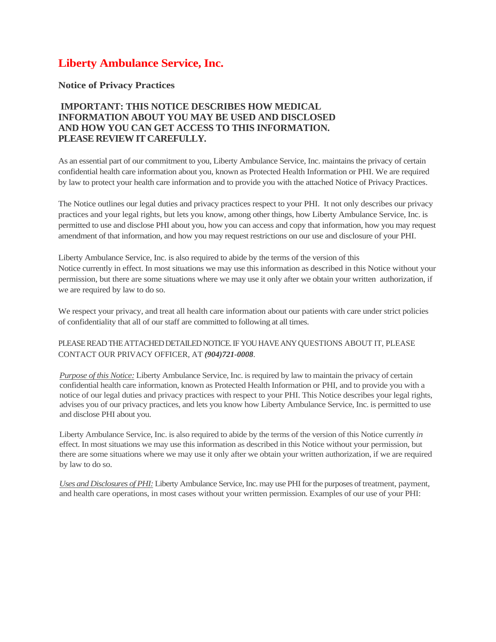## **Liberty Ambulance Service, Inc.**

## **Notice of Privacy Practices**

## **IMPORTANT: THIS NOTICE DESCRIBES HOW MEDICAL INFORMATION ABOUT YOU MAY BE USED AND DISCLOSED AND HOW YOU CAN GET ACCESS TO THIS INFORMATION. PLEASE REVIEW IT CAREFULLY.**

As an essential part of our commitment to you, Liberty Ambulance Service, Inc. maintains the privacy of certain confidential health care information about you, known as Protected Health Information or PHI. We are required by law to protect your health care information and to provide you with the attached Notice of Privacy Practices.

The Notice outlines our legal duties and privacy practices respect to your PHI. It not only describes our privacy practices and your legal rights, but lets you know, among other things, how Liberty Ambulance Service, Inc. is permitted to use and disclose PHI about you, how you can access and copy that information, how you may request amendment of that information, and how you may request restrictions on our use and disclosure of your PHI.

Liberty Ambulance Service, Inc. is also required to abide by the terms of the version of this Notice currently in effect. In most situations we may use this information as described in this Notice without your permission, but there are some situations where we may use it only after we obtain your written authorization, if we are required by law to do so.

We respect your privacy, and treat all health care information about our patients with care under strict policies of confidentiality that all of our staff are committed to following at all times.

## PLEASE READ THE ATTACHED DETAILED NOTICE. IF YOU HAVE ANY QUESTIONS ABOUT IT, PLEASE CONTACT OUR PRIVACY OFFICER, AT *(904)721-0008*.

*Purpose of this Notice:* Liberty Ambulance Service, Inc. is required by law to maintain the privacy of certain confidential health care information, known as Protected Health Information or PHI, and to provide you with a notice of our legal duties and privacy practices with respect to your PHI. This Notice describes your legal rights, advises you of our privacy practices, and lets you know how Liberty Ambulance Service, Inc. is permitted to use and disclose PHI about you.

Liberty Ambulance Service, Inc. is also required to abide by the terms of the version of this Notice currently *in*  effect. In most situations we may use this information as described in this Notice without your permission, but there are some situations where we may use it only after we obtain your written authorization, if we are required by law to do so.

*Uses and Disclosures of PHI:*Liberty Ambulance Service, Inc. may use PHI for the purposes of treatment, payment, and health care operations, in most cases without your written permission. Examples of our use of your PHI: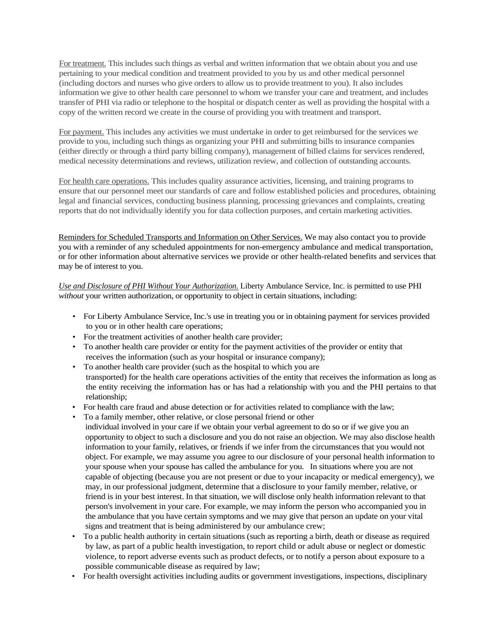For treatment. This includes such things as verbal and written information that we obtain about you and use pertaining to your medical condition and treatment provided to you by us and other medical personnel (including doctors and nurses who give orders to allow us to provide treatment to you). It also includes information we give to other health care personnel to whom we transfer your care and treatment, and includes transfer of PHI via radio or telephone to the hospital or dispatch center as well as providing the hospital with a copy of the written record we create in the course of providing you with treatment and transport.

For payment. This includes any activities we must undertake in order to get reimbursed for the services we provide to you, including such things as organizing your PHI and submitting bills to insurance companies (either directly or through a third party billing company), management of billed claims for services rendered, medical necessity determinations and reviews, utilization review, and collection of outstanding accounts.

For health care operations. This includes quality assurance activities, licensing, and training programs to ensure that our personnel meet our standards of care and follow established policies and procedures, obtaining legal and financial services, conducting business planning, processing grievances and complaints, creating reports that do not individually identify you for data collection purposes, and certain marketing activities.

Reminders for Scheduled Transports and Information on Other Services. We may also contact you to provide you with a reminder of any scheduled appointments for non-emergency ambulance and medical transportation, or for other information about alternative services we provide or other health-related benefits and services that may be of interest to you.

*Use and Disclosure of PHI Without Your Authorization.* Liberty Ambulance Service, Inc. is permitted to use PHI *without* your written authorization, or opportunity to object in certain situations, including:

- For Liberty Ambulance Service, Inc.'s use in treating you or in obtaining payment for services provided to you or in other health care operations;
- For the treatment activities of another health care provider;
- To another health care provider or entity for the payment activities of the provider or entity that receives the information (such as your hospital or insurance company);
- To another health care provider (such as the hospital to which you are transported) for the health care operations activities of the entity that receives the information as long as the entity receiving the information has or has had a relationship with you and the PHI pertains to that relationship;
- For health care fraud and abuse detection or for activities related to compliance with the law;
- To a family member, other relative, or close personal friend or other
- individual involved in your care if we obtain your verbal agreement to do so or if we give you an opportunity to object to such a disclosure and you do not raise an objection. We may also disclose health information to your family, relatives, or friends if we infer from the circumstances that you would not object. For example, we may assume you agree to our disclosure of your personal health information to your spouse when your spouse has called the ambulance for you. In situations where you are not capable of objecting (because you are not present or due to your incapacity or medical emergency), we may, in our professional judgment, determine that a disclosure to your family member, relative, or friend is in your best interest. In that situation, we will disclose only health information relevant to that person's involvement in your care. For example, we may inform the person who accompanied you in the ambulance that you have certain symptoms and we may give that person an update on your vital signs and treatment that is being administered by our ambulance crew;
- To a public health authority in certain situations (such as reporting a birth, death or disease as required by law, as part of a public health investigation, to report child or adult abuse or neglect or domestic violence, to report adverse events such as product defects, or to notify a person about exposure to a possible communicable disease as required by law;
- For health oversight activities including audits or government investigations, inspections, disciplinary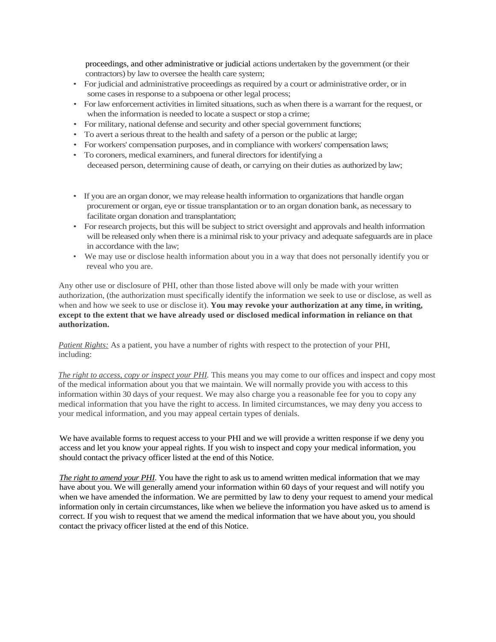proceedings, and other administrative or judicial actions undertaken by the government (or their contractors) by law to oversee the health care system;

- For judicial and administrative proceedings as required by a court or administrative order, or in some cases in response to a subpoena or other legal process;
- For law enforcement activities in limited situations, such as when there is a warrant for the request, or when the information is needed to locate a suspect or stop a crime;
- For military, national defense and security and other special government functions;
- To avert a serious threat to the health and safety of a person or the public at large;
- For workers' compensation purposes, and in compliance with workers' compensation laws;
- To coroners, medical examiners, and funeral directors for identifying a deceased person, determining cause of death, or carrying on their duties as authorized by law;
- If you are an organ donor, we may release health information to organizations that handle organ procurement or organ, eye or tissue transplantation or to an organ donation bank, as necessary to facilitate organ donation and transplantation;
- For research projects, but this will be subject to strict oversight and approvals and health information will be released only when there is a minimal risk to your privacy and adequate safeguards are in place in accordance with the law;
- We may use or disclose health information about you in a way that does not personally identify you or reveal who you are.

Any other use or disclosure of PHI, other than those listed above will only be made with your written authorization, (the authorization must specifically identify the information we seek to use or disclose, as well as when and how we seek to use or disclose it). **You may revoke your authorization at any time, in writing, except to the extent that we have already used or disclosed medical information in reliance on that authorization.**

*Patient Rights:* As a patient, you have a number of rights with respect to the protection of your PHI, including:

*The right to access, copy or inspect your PHI*. This means you may come to our offices and inspect and copy most of the medical information about you that we maintain. We will normally provide you with access to this information within 30 days of your request. We may also charge you a reasonable fee for you to copy any medical information that you have the right to access. In limited circumstances, we may deny you access to your medical information, and you may appeal certain types of denials.

We have available forms to request access to your PHI and we will provide a written response if we deny you access and let you know your appeal rights. If you wish to inspect and copy your medical information, you should contact the privacy officer listed at the end of this Notice.

*The right to amend your PHI.* You have the right to ask us to amend written medical information that we may have about you. We will generally amend your information within 60 days of your request and will notify you when we have amended the information. We are permitted by law to deny your request to amend your medical information only in certain circumstances, like when we believe the information you have asked us to amend is correct. If you wish to request that we amend the medical information that we have about you, you should contact the privacy officer listed at the end of this Notice.